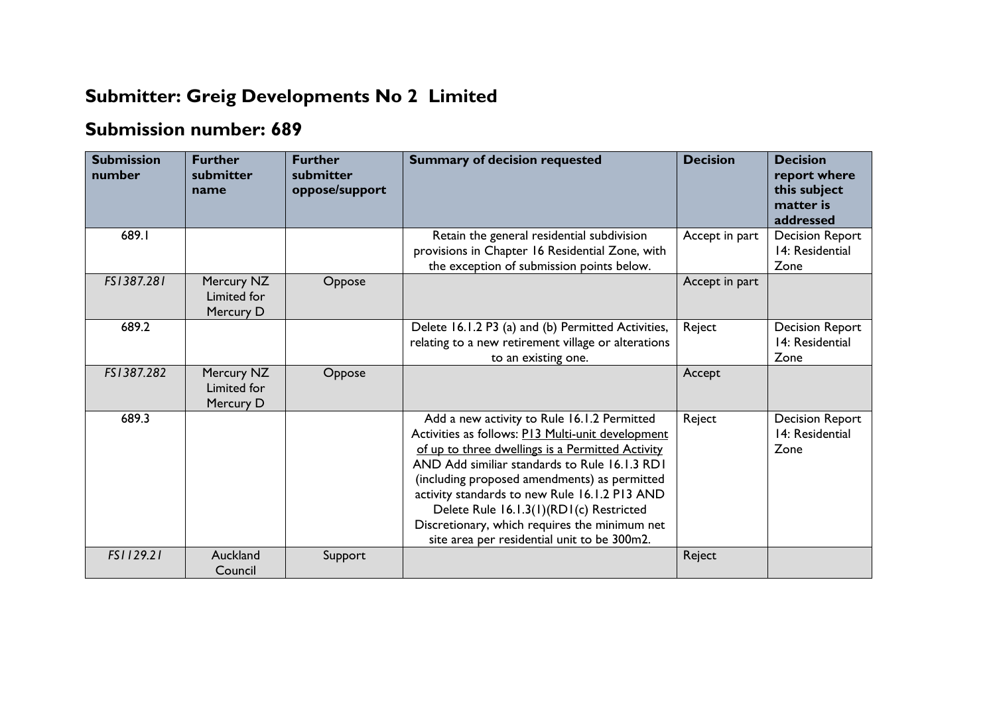## **Submitter: Greig Developments No 2 Limited**

## **Submission number: 689**

| <b>Submission</b><br>number | <b>Further</b><br>submitter<br>name    | <b>Further</b><br>submitter<br>oppose/support | <b>Summary of decision requested</b>                                                                                                                                                                                                                                                                                                                                                                                                              | <b>Decision</b> | <b>Decision</b><br>report where<br>this subject<br>matter is<br>addressed |
|-----------------------------|----------------------------------------|-----------------------------------------------|---------------------------------------------------------------------------------------------------------------------------------------------------------------------------------------------------------------------------------------------------------------------------------------------------------------------------------------------------------------------------------------------------------------------------------------------------|-----------------|---------------------------------------------------------------------------|
| 689.I                       |                                        |                                               | Retain the general residential subdivision<br>provisions in Chapter 16 Residential Zone, with<br>the exception of submission points below.                                                                                                                                                                                                                                                                                                        | Accept in part  | <b>Decision Report</b><br>14: Residential<br>Zone                         |
| FS1387.281                  | Mercury NZ<br>Limited for<br>Mercury D | Oppose                                        |                                                                                                                                                                                                                                                                                                                                                                                                                                                   | Accept in part  |                                                                           |
| 689.2                       |                                        |                                               | Delete 16.1.2 P3 (a) and (b) Permitted Activities,<br>relating to a new retirement village or alterations<br>to an existing one.                                                                                                                                                                                                                                                                                                                  | Reject          | <b>Decision Report</b><br>14: Residential<br>Zone                         |
| FS1387.282                  | Mercury NZ<br>Limited for<br>Mercury D | Oppose                                        |                                                                                                                                                                                                                                                                                                                                                                                                                                                   | Accept          |                                                                           |
| 689.3                       |                                        |                                               | Add a new activity to Rule 16.1.2 Permitted<br>Activities as follows: P13 Multi-unit development<br>of up to three dwellings is a Permitted Activity<br>AND Add similiar standards to Rule 16.1.3 RD1<br>(including proposed amendments) as permitted<br>activity standards to new Rule 16.1.2 P13 AND<br>Delete Rule 16.1.3(1)(RD1(c) Restricted<br>Discretionary, which requires the minimum net<br>site area per residential unit to be 300m2. | Reject          | <b>Decision Report</b><br>14: Residential<br>Zone                         |
| FS1129.21                   | Auckland<br>Council                    | Support                                       |                                                                                                                                                                                                                                                                                                                                                                                                                                                   | Reject          |                                                                           |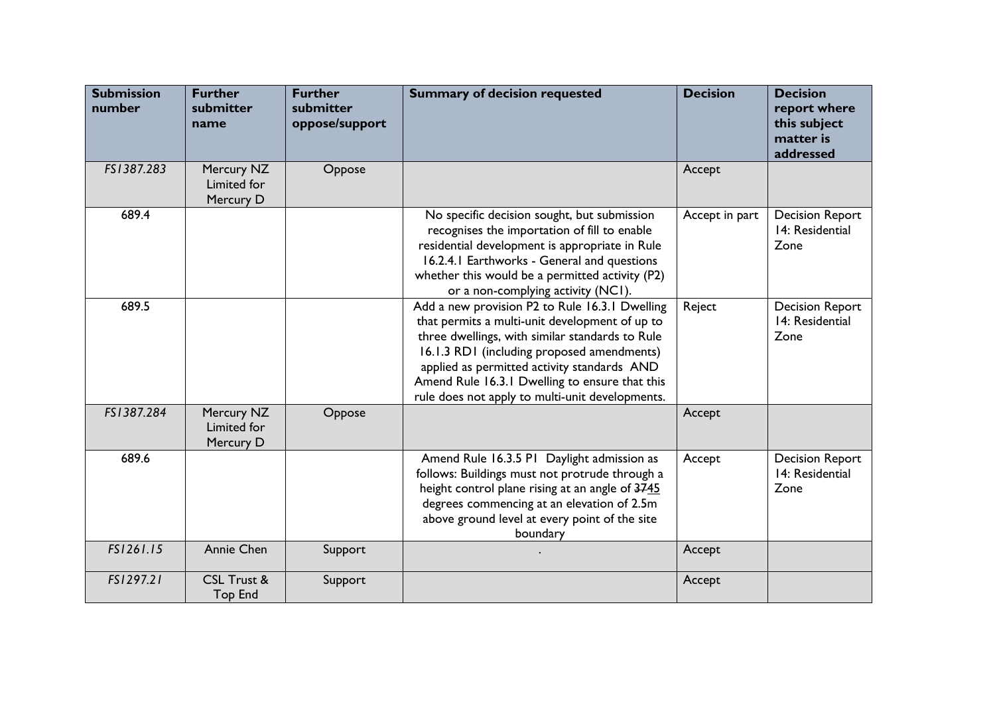| <b>Submission</b><br>number | <b>Further</b><br>submitter<br>name      | <b>Further</b><br>submitter<br>oppose/support | <b>Summary of decision requested</b>                                                                                                                                                                                                                                                                                                                  | <b>Decision</b> | <b>Decision</b><br>report where<br>this subject<br>matter is<br>addressed |
|-----------------------------|------------------------------------------|-----------------------------------------------|-------------------------------------------------------------------------------------------------------------------------------------------------------------------------------------------------------------------------------------------------------------------------------------------------------------------------------------------------------|-----------------|---------------------------------------------------------------------------|
| FS1387.283                  | Mercury NZ<br>Limited for<br>Mercury D   | Oppose                                        |                                                                                                                                                                                                                                                                                                                                                       | Accept          |                                                                           |
| 689.4                       |                                          |                                               | No specific decision sought, but submission<br>recognises the importation of fill to enable<br>residential development is appropriate in Rule<br>16.2.4.1 Earthworks - General and questions<br>whether this would be a permitted activity (P2)<br>or a non-complying activity (NC1).                                                                 | Accept in part  | <b>Decision Report</b><br>14: Residential<br>Zone                         |
| 689.5                       |                                          |                                               | Add a new provision P2 to Rule 16.3.1 Dwelling<br>that permits a multi-unit development of up to<br>three dwellings, with similar standards to Rule<br>16.1.3 RD1 (including proposed amendments)<br>applied as permitted activity standards AND<br>Amend Rule 16.3.1 Dwelling to ensure that this<br>rule does not apply to multi-unit developments. | Reject          | <b>Decision Report</b><br>14: Residential<br>Zone                         |
| FS1387.284                  | Mercury NZ<br>Limited for<br>Mercury D   | Oppose                                        |                                                                                                                                                                                                                                                                                                                                                       | Accept          |                                                                           |
| 689.6                       |                                          |                                               | Amend Rule 16.3.5 P1 Daylight admission as<br>follows: Buildings must not protrude through a<br>height control plane rising at an angle of 3745<br>degrees commencing at an elevation of 2.5m<br>above ground level at every point of the site<br>boundary                                                                                            | Accept          | <b>Decision Report</b><br>14: Residential<br>Zone                         |
| FS1261.15                   | Annie Chen                               | Support                                       |                                                                                                                                                                                                                                                                                                                                                       | Accept          |                                                                           |
| FS1297.21                   | <b>CSL Trust &amp;</b><br><b>Top End</b> | Support                                       |                                                                                                                                                                                                                                                                                                                                                       | Accept          |                                                                           |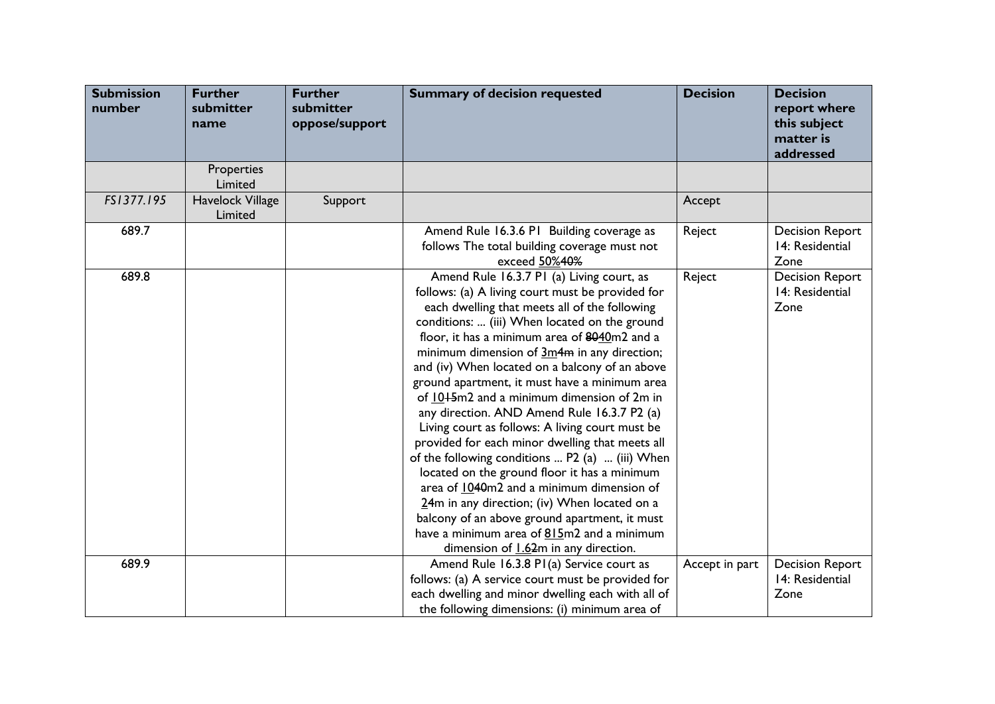| <b>Submission</b><br>number | <b>Further</b><br>submitter<br>name | <b>Further</b><br>submitter<br>oppose/support | <b>Summary of decision requested</b>                                                                                                                                                                                                                                                                                                                                                                                                                                                                                                                                                                                                                                                                                                                                                                                                                                                                                                          | <b>Decision</b> | <b>Decision</b><br>report where<br>this subject<br>matter is<br>addressed |
|-----------------------------|-------------------------------------|-----------------------------------------------|-----------------------------------------------------------------------------------------------------------------------------------------------------------------------------------------------------------------------------------------------------------------------------------------------------------------------------------------------------------------------------------------------------------------------------------------------------------------------------------------------------------------------------------------------------------------------------------------------------------------------------------------------------------------------------------------------------------------------------------------------------------------------------------------------------------------------------------------------------------------------------------------------------------------------------------------------|-----------------|---------------------------------------------------------------------------|
|                             | Properties<br>Limited               |                                               |                                                                                                                                                                                                                                                                                                                                                                                                                                                                                                                                                                                                                                                                                                                                                                                                                                                                                                                                               |                 |                                                                           |
| FS1377.195                  | Havelock Village<br>Limited         | Support                                       |                                                                                                                                                                                                                                                                                                                                                                                                                                                                                                                                                                                                                                                                                                                                                                                                                                                                                                                                               | Accept          |                                                                           |
| 689.7                       |                                     |                                               | Amend Rule 16.3.6 P1 Building coverage as<br>follows The total building coverage must not<br>exceed 50%40%                                                                                                                                                                                                                                                                                                                                                                                                                                                                                                                                                                                                                                                                                                                                                                                                                                    | Reject          | <b>Decision Report</b><br>14: Residential<br>Zone                         |
| 689.8                       |                                     |                                               | Amend Rule 16.3.7 P1 (a) Living court, as<br>follows: (a) A living court must be provided for<br>each dwelling that meets all of the following<br>conditions:  (iii) When located on the ground<br>floor, it has a minimum area of 8040m2 and a<br>minimum dimension of 3m4m in any direction;<br>and (iv) When located on a balcony of an above<br>ground apartment, it must have a minimum area<br>of 10+5m2 and a minimum dimension of 2m in<br>any direction. AND Amend Rule 16.3.7 P2 (a)<br>Living court as follows: A living court must be<br>provided for each minor dwelling that meets all<br>of the following conditions  P2 (a)  (iii) When<br>located on the ground floor it has a minimum<br>area of 1040m2 and a minimum dimension of<br>$24m$ in any direction; (iv) When located on a<br>balcony of an above ground apartment, it must<br>have a minimum area of 815m2 and a minimum<br>dimension of 1.62m in any direction. | Reject          | <b>Decision Report</b><br>14: Residential<br>Zone                         |
| 689.9                       |                                     |                                               | Amend Rule 16.3.8 P1(a) Service court as<br>follows: (a) A service court must be provided for<br>each dwelling and minor dwelling each with all of<br>the following dimensions: (i) minimum area of                                                                                                                                                                                                                                                                                                                                                                                                                                                                                                                                                                                                                                                                                                                                           | Accept in part  | <b>Decision Report</b><br>14: Residential<br>Zone                         |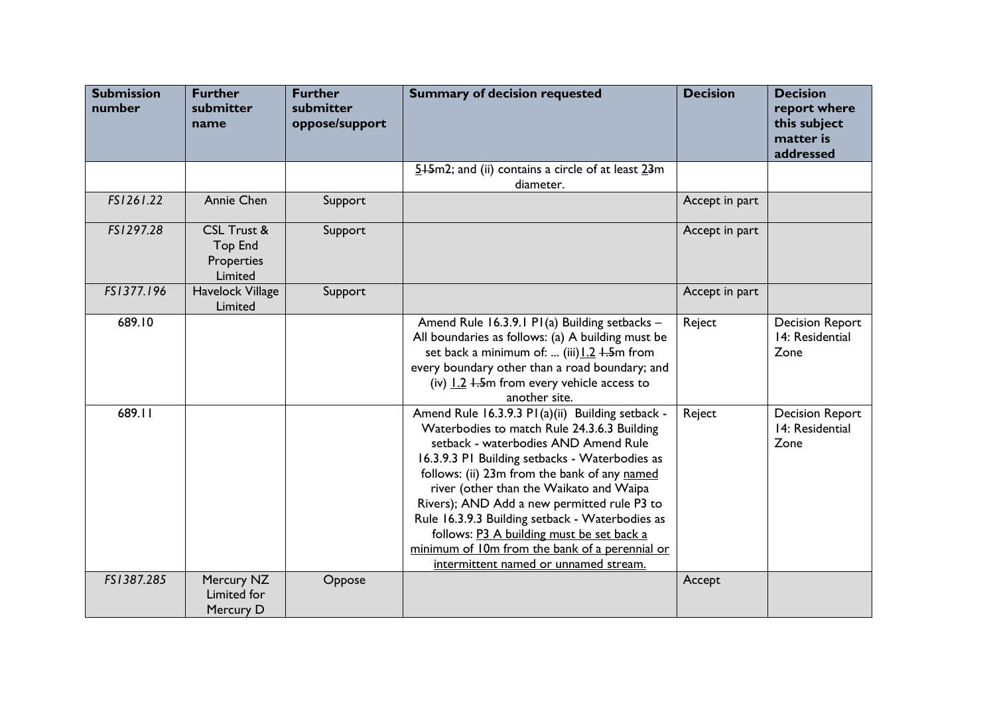| <b>Submission</b><br>number | <b>Further</b><br>submitter<br>name                               | <b>Further</b><br>submitter<br>oppose/support | <b>Summary of decision requested</b>                                                                                                                                                                                                                                                                                                                                                                                                                                                                                           | <b>Decision</b> | <b>Decision</b><br>report where<br>this subject<br>matter is<br>addressed |
|-----------------------------|-------------------------------------------------------------------|-----------------------------------------------|--------------------------------------------------------------------------------------------------------------------------------------------------------------------------------------------------------------------------------------------------------------------------------------------------------------------------------------------------------------------------------------------------------------------------------------------------------------------------------------------------------------------------------|-----------------|---------------------------------------------------------------------------|
|                             |                                                                   |                                               | $5+5m2$ ; and (ii) contains a circle of at least $23m$<br>diameter.                                                                                                                                                                                                                                                                                                                                                                                                                                                            |                 |                                                                           |
| FS1261.22                   | Annie Chen                                                        | Support                                       |                                                                                                                                                                                                                                                                                                                                                                                                                                                                                                                                | Accept in part  |                                                                           |
| FS1297.28                   | <b>CSL Trust &amp;</b><br><b>Top End</b><br>Properties<br>Limited | Support                                       |                                                                                                                                                                                                                                                                                                                                                                                                                                                                                                                                | Accept in part  |                                                                           |
| FS1377.196                  | Havelock Village<br>Limited                                       | Support                                       |                                                                                                                                                                                                                                                                                                                                                                                                                                                                                                                                | Accept in part  |                                                                           |
| 689.10                      |                                                                   |                                               | Amend Rule 16.3.9.1 P1(a) Building setbacks -<br>All boundaries as follows: (a) A building must be<br>set back a minimum of:  (iii) 1.2 +.5m from<br>every boundary other than a road boundary; and<br>(iv) $1.2$ $1.5$ m from every vehicle access to<br>another site.                                                                                                                                                                                                                                                        | Reject          | <b>Decision Report</b><br>14: Residential<br>Zone                         |
| 689.11                      |                                                                   |                                               | Amend Rule 16.3.9.3 P1(a)(ii) Building setback -<br>Waterbodies to match Rule 24.3.6.3 Building<br>setback - waterbodies AND Amend Rule<br>16.3.9.3 P1 Building setbacks - Waterbodies as<br>follows: (ii) 23m from the bank of any named<br>river (other than the Waikato and Waipa<br>Rivers); AND Add a new permitted rule P3 to<br>Rule 16.3.9.3 Building setback - Waterbodies as<br>follows: P3 A building must be set back a<br>minimum of 10m from the bank of a perennial or<br>intermittent named or unnamed stream. | Reject          | <b>Decision Report</b><br>14: Residential<br>Zone                         |
| FS1387.285                  | Mercury NZ<br>Limited for<br>Mercury D                            | Oppose                                        |                                                                                                                                                                                                                                                                                                                                                                                                                                                                                                                                | Accept          |                                                                           |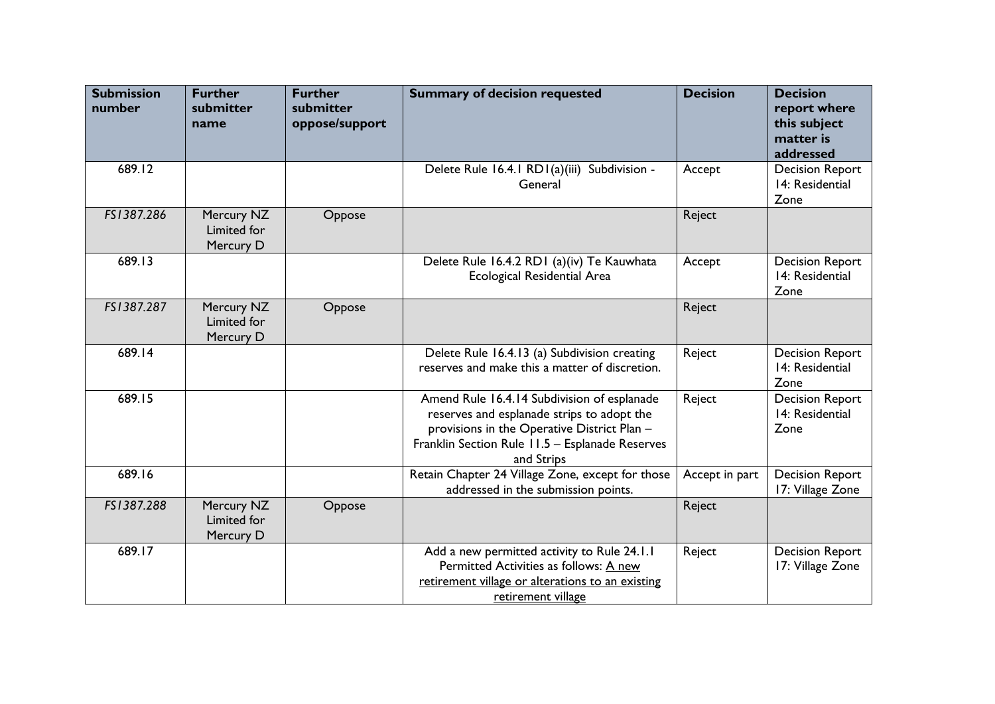| <b>Submission</b><br>number | <b>Further</b><br>submitter<br>name    | <b>Further</b><br>submitter<br>oppose/support | <b>Summary of decision requested</b>                                                                                                                                                                      | <b>Decision</b> | <b>Decision</b><br>report where<br>this subject<br>matter is<br>addressed |
|-----------------------------|----------------------------------------|-----------------------------------------------|-----------------------------------------------------------------------------------------------------------------------------------------------------------------------------------------------------------|-----------------|---------------------------------------------------------------------------|
| 689.12                      |                                        |                                               | Delete Rule 16.4.1 RD1(a)(iii) Subdivision -<br>General                                                                                                                                                   | Accept          | <b>Decision Report</b><br>14: Residential<br>Zone                         |
| FS1387.286                  | Mercury NZ<br>Limited for<br>Mercury D | Oppose                                        |                                                                                                                                                                                                           | Reject          |                                                                           |
| 689.13                      |                                        |                                               | Delete Rule 16.4.2 RD1 (a)(iv) Te Kauwhata<br><b>Ecological Residential Area</b>                                                                                                                          | Accept          | <b>Decision Report</b><br>14: Residential<br>Zone                         |
| FS1387.287                  | Mercury NZ<br>Limited for<br>Mercury D | Oppose                                        |                                                                                                                                                                                                           | Reject          |                                                                           |
| 689.14                      |                                        |                                               | Delete Rule 16.4.13 (a) Subdivision creating<br>reserves and make this a matter of discretion.                                                                                                            | Reject          | <b>Decision Report</b><br>14: Residential<br>Zone                         |
| 689.15                      |                                        |                                               | Amend Rule 16.4.14 Subdivision of esplanade<br>reserves and esplanade strips to adopt the<br>provisions in the Operative District Plan -<br>Franklin Section Rule 11.5 - Esplanade Reserves<br>and Strips | Reject          | <b>Decision Report</b><br>14: Residential<br>Zone                         |
| 689.16                      |                                        |                                               | Retain Chapter 24 Village Zone, except for those<br>addressed in the submission points.                                                                                                                   | Accept in part  | <b>Decision Report</b><br>17: Village Zone                                |
| FS1387.288                  | Mercury NZ<br>Limited for<br>Mercury D | Oppose                                        |                                                                                                                                                                                                           | Reject          |                                                                           |
| 689.17                      |                                        |                                               | Add a new permitted activity to Rule 24.1.1<br>Permitted Activities as follows: A new<br>retirement village or alterations to an existing<br>retirement village                                           | Reject          | <b>Decision Report</b><br>17: Village Zone                                |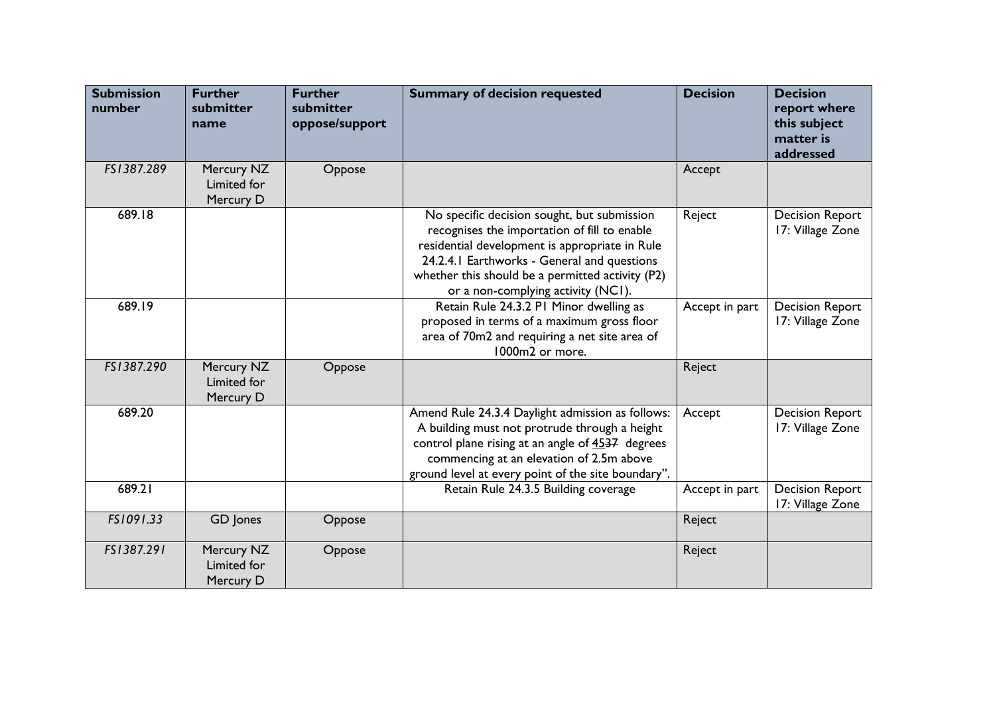| <b>Submission</b><br>number | <b>Further</b><br>submitter<br>name    | <b>Further</b><br>submitter<br>oppose/support | <b>Summary of decision requested</b>                                                                                                                                                                                                                                                   | <b>Decision</b> | <b>Decision</b><br>report where<br>this subject<br>matter is<br>addressed |
|-----------------------------|----------------------------------------|-----------------------------------------------|----------------------------------------------------------------------------------------------------------------------------------------------------------------------------------------------------------------------------------------------------------------------------------------|-----------------|---------------------------------------------------------------------------|
| FS1387.289                  | Mercury NZ<br>Limited for<br>Mercury D | Oppose                                        |                                                                                                                                                                                                                                                                                        | Accept          |                                                                           |
| 689.18                      |                                        |                                               | No specific decision sought, but submission<br>recognises the importation of fill to enable<br>residential development is appropriate in Rule<br>24.2.4.1 Earthworks - General and questions<br>whether this should be a permitted activity (P2)<br>or a non-complying activity (NC1). | Reject          | <b>Decision Report</b><br>17: Village Zone                                |
| 689.19                      |                                        |                                               | Retain Rule 24.3.2 PI Minor dwelling as<br>proposed in terms of a maximum gross floor<br>area of 70m2 and requiring a net site area of<br>1000m2 or more.                                                                                                                              | Accept in part  | <b>Decision Report</b><br>17: Village Zone                                |
| FS1387.290                  | Mercury NZ<br>Limited for<br>Mercury D | Oppose                                        |                                                                                                                                                                                                                                                                                        | Reject          |                                                                           |
| 689.20                      |                                        |                                               | Amend Rule 24.3.4 Daylight admission as follows:<br>A building must not protrude through a height<br>control plane rising at an angle of 4537 degrees<br>commencing at an elevation of 2.5m above<br>ground level at every point of the site boundary".                                | Accept          | <b>Decision Report</b><br>17: Village Zone                                |
| 689.21                      |                                        |                                               | Retain Rule 24.3.5 Building coverage                                                                                                                                                                                                                                                   | Accept in part  | <b>Decision Report</b><br>17: Village Zone                                |
| FS1091.33                   | GD Jones                               | Oppose                                        |                                                                                                                                                                                                                                                                                        | Reject          |                                                                           |
| FS1387.291                  | Mercury NZ<br>Limited for<br>Mercury D | Oppose                                        |                                                                                                                                                                                                                                                                                        | Reject          |                                                                           |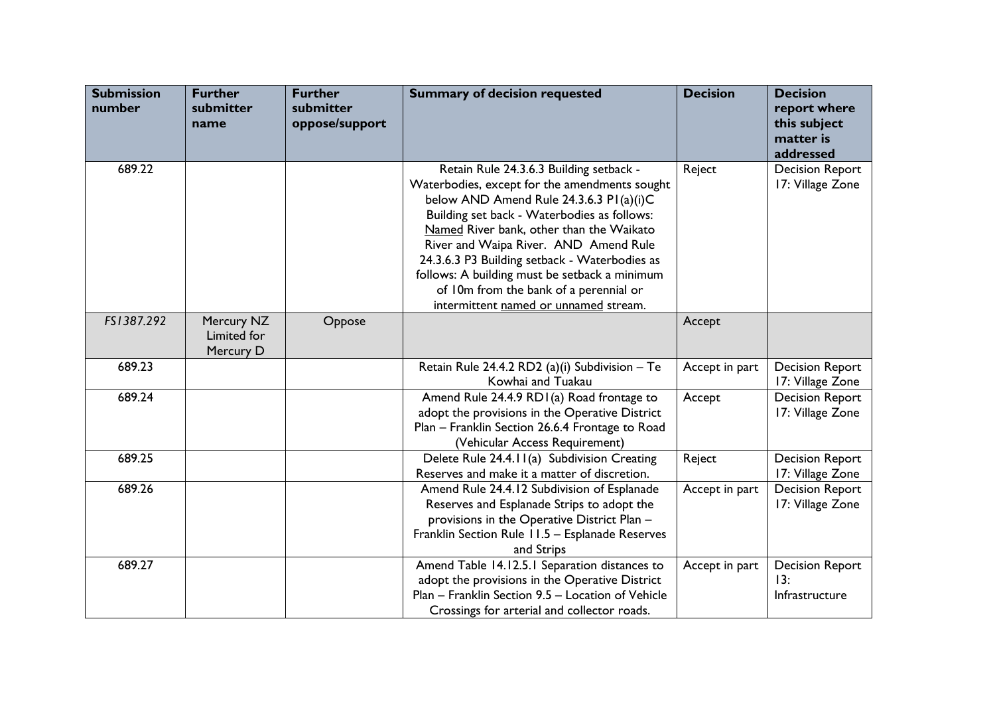| <b>Submission</b><br>number | <b>Further</b><br>submitter<br>name    | <b>Further</b><br>submitter<br>oppose/support | <b>Summary of decision requested</b>                                                                                                                                                                                                                                                                                                                                                                                                                         | <b>Decision</b> | <b>Decision</b><br>report where<br>this subject<br>matter is<br>addressed |
|-----------------------------|----------------------------------------|-----------------------------------------------|--------------------------------------------------------------------------------------------------------------------------------------------------------------------------------------------------------------------------------------------------------------------------------------------------------------------------------------------------------------------------------------------------------------------------------------------------------------|-----------------|---------------------------------------------------------------------------|
| 689.22                      |                                        |                                               | Retain Rule 24.3.6.3 Building setback -<br>Waterbodies, except for the amendments sought<br>below AND Amend Rule 24.3.6.3 PI(a)(i)C<br>Building set back - Waterbodies as follows:<br>Named River bank, other than the Waikato<br>River and Waipa River. AND Amend Rule<br>24.3.6.3 P3 Building setback - Waterbodies as<br>follows: A building must be setback a minimum<br>of 10m from the bank of a perennial or<br>intermittent named or unnamed stream. | Reject          | <b>Decision Report</b><br>17: Village Zone                                |
| FS1387.292                  | Mercury NZ<br>Limited for<br>Mercury D | Oppose                                        |                                                                                                                                                                                                                                                                                                                                                                                                                                                              | Accept          |                                                                           |
| 689.23                      |                                        |                                               | Retain Rule 24.4.2 RD2 (a)(i) Subdivision - Te<br>Kowhai and Tuakau                                                                                                                                                                                                                                                                                                                                                                                          | Accept in part  | <b>Decision Report</b><br>17: Village Zone                                |
| 689.24                      |                                        |                                               | Amend Rule 24.4.9 RD1(a) Road frontage to<br>adopt the provisions in the Operative District<br>Plan - Franklin Section 26.6.4 Frontage to Road<br>(Vehicular Access Requirement)                                                                                                                                                                                                                                                                             | Accept          | <b>Decision Report</b><br>17: Village Zone                                |
| 689.25                      |                                        |                                               | Delete Rule 24.4.11(a) Subdivision Creating<br>Reserves and make it a matter of discretion.                                                                                                                                                                                                                                                                                                                                                                  | Reject          | <b>Decision Report</b><br>17: Village Zone                                |
| 689.26                      |                                        |                                               | Amend Rule 24.4.12 Subdivision of Esplanade<br>Reserves and Esplanade Strips to adopt the<br>provisions in the Operative District Plan -<br>Franklin Section Rule 11.5 - Esplanade Reserves<br>and Strips                                                                                                                                                                                                                                                    | Accept in part  | <b>Decision Report</b><br>17: Village Zone                                |
| 689.27                      |                                        |                                               | Amend Table 14.12.5.1 Separation distances to<br>adopt the provisions in the Operative District<br>Plan - Franklin Section 9.5 - Location of Vehicle<br>Crossings for arterial and collector roads.                                                                                                                                                                                                                                                          | Accept in part  | <b>Decision Report</b><br>13:<br>Infrastructure                           |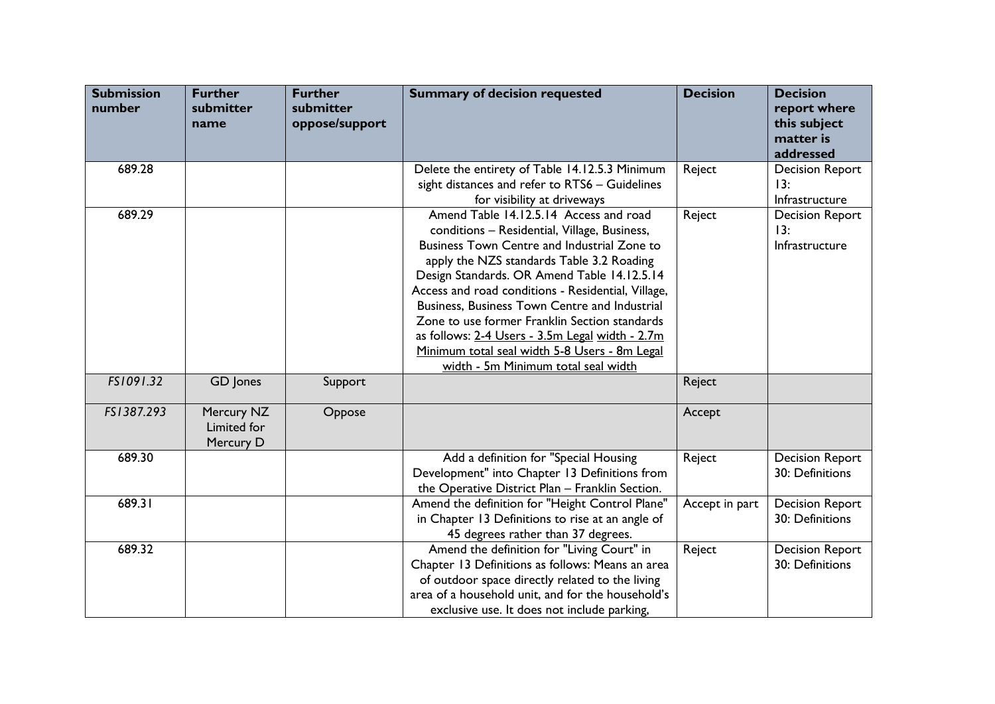| <b>Submission</b><br>number | <b>Further</b><br>submitter<br>name    | <b>Further</b><br>submitter<br>oppose/support | <b>Summary of decision requested</b>                                                                                                                                                                                                                                                                                                                                                                                                                                                                                                 | <b>Decision</b> | <b>Decision</b><br>report where<br>this subject<br>matter is<br>addressed |
|-----------------------------|----------------------------------------|-----------------------------------------------|--------------------------------------------------------------------------------------------------------------------------------------------------------------------------------------------------------------------------------------------------------------------------------------------------------------------------------------------------------------------------------------------------------------------------------------------------------------------------------------------------------------------------------------|-----------------|---------------------------------------------------------------------------|
| 689.28                      |                                        |                                               | Delete the entirety of Table 14.12.5.3 Minimum<br>sight distances and refer to RTS6 - Guidelines<br>for visibility at driveways                                                                                                                                                                                                                                                                                                                                                                                                      | Reject          | <b>Decision Report</b><br>13:<br>Infrastructure                           |
| 689.29                      |                                        |                                               | Amend Table 14.12.5.14 Access and road<br>conditions - Residential, Village, Business,<br>Business Town Centre and Industrial Zone to<br>apply the NZS standards Table 3.2 Roading<br>Design Standards. OR Amend Table 14.12.5.14<br>Access and road conditions - Residential, Village,<br>Business, Business Town Centre and Industrial<br>Zone to use former Franklin Section standards<br>as follows: 2-4 Users - 3.5m Legal width - 2.7m<br>Minimum total seal width 5-8 Users - 8m Legal<br>width - 5m Minimum total seal width | Reject          | <b>Decision Report</b><br>13:<br>Infrastructure                           |
| FS1091.32                   | GD Jones                               | Support                                       |                                                                                                                                                                                                                                                                                                                                                                                                                                                                                                                                      | Reject          |                                                                           |
| FS1387.293                  | Mercury NZ<br>Limited for<br>Mercury D | Oppose                                        |                                                                                                                                                                                                                                                                                                                                                                                                                                                                                                                                      | Accept          |                                                                           |
| 689.30                      |                                        |                                               | Add a definition for "Special Housing<br>Development" into Chapter 13 Definitions from<br>the Operative District Plan - Franklin Section.                                                                                                                                                                                                                                                                                                                                                                                            | Reject          | <b>Decision Report</b><br>30: Definitions                                 |
| 689.31                      |                                        |                                               | Amend the definition for "Height Control Plane"<br>in Chapter 13 Definitions to rise at an angle of<br>45 degrees rather than 37 degrees.                                                                                                                                                                                                                                                                                                                                                                                            | Accept in part  | <b>Decision Report</b><br>30: Definitions                                 |
| 689.32                      |                                        |                                               | Amend the definition for "Living Court" in<br>Chapter 13 Definitions as follows: Means an area<br>of outdoor space directly related to the living<br>area of a household unit, and for the household's<br>exclusive use. It does not include parking,                                                                                                                                                                                                                                                                                | Reject          | <b>Decision Report</b><br>30: Definitions                                 |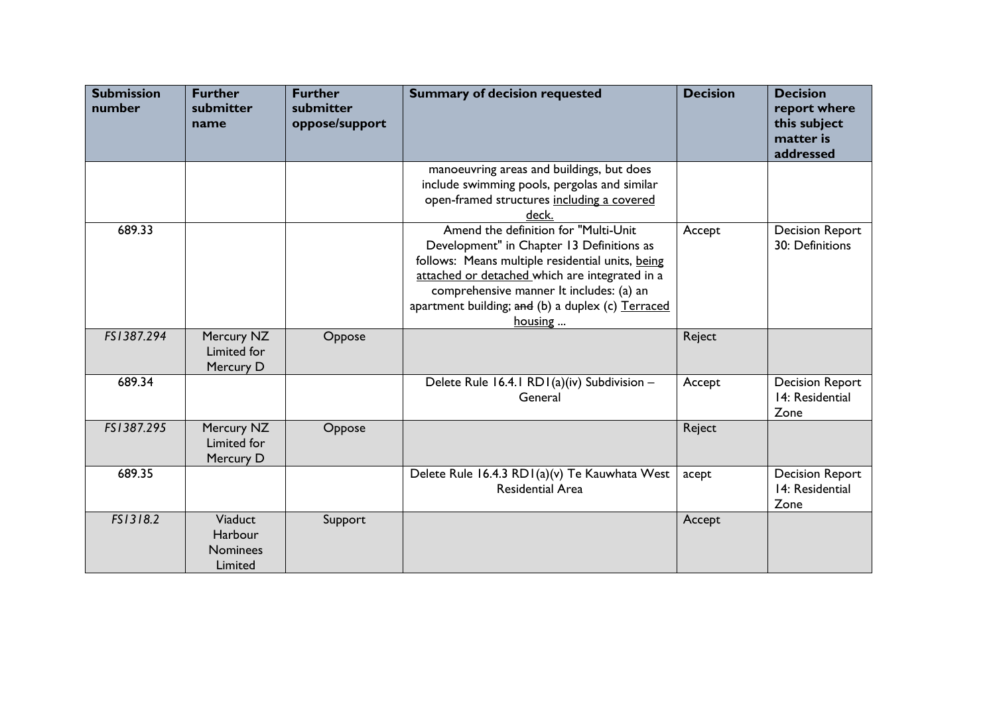| <b>Submission</b><br>number | <b>Further</b><br>submitter<br>name              | <b>Further</b><br>submitter<br>oppose/support | <b>Summary of decision requested</b>                                                                                                                                                                                                                                                                 | <b>Decision</b> | <b>Decision</b><br>report where<br>this subject<br>matter is<br>addressed |
|-----------------------------|--------------------------------------------------|-----------------------------------------------|------------------------------------------------------------------------------------------------------------------------------------------------------------------------------------------------------------------------------------------------------------------------------------------------------|-----------------|---------------------------------------------------------------------------|
|                             |                                                  |                                               | manoeuvring areas and buildings, but does<br>include swimming pools, pergolas and similar<br>open-framed structures including a covered<br>deck.                                                                                                                                                     |                 |                                                                           |
| 689.33                      |                                                  |                                               | Amend the definition for "Multi-Unit"<br>Development" in Chapter 13 Definitions as<br>follows: Means multiple residential units, being<br>attached or detached which are integrated in a<br>comprehensive manner It includes: (a) an<br>apartment building; and (b) a duplex (c) Terraced<br>housing | Accept          | <b>Decision Report</b><br>30: Definitions                                 |
| FS1387.294                  | Mercury NZ<br>Limited for<br>Mercury D           | Oppose                                        |                                                                                                                                                                                                                                                                                                      | Reject          |                                                                           |
| 689.34                      |                                                  |                                               | Delete Rule 16.4.1 RD1(a)(iv) Subdivision -<br>General                                                                                                                                                                                                                                               | Accept          | <b>Decision Report</b><br>14: Residential<br>Zone                         |
| FS1387.295                  | Mercury NZ<br>Limited for<br>Mercury D           | Oppose                                        |                                                                                                                                                                                                                                                                                                      | Reject          |                                                                           |
| 689.35                      |                                                  |                                               | Delete Rule 16.4.3 RD1(a)(v) Te Kauwhata West<br><b>Residential Area</b>                                                                                                                                                                                                                             | acept           | <b>Decision Report</b><br>14: Residential<br>Zone                         |
| FS1318.2                    | Viaduct<br>Harbour<br><b>Nominees</b><br>Limited | Support                                       |                                                                                                                                                                                                                                                                                                      | Accept          |                                                                           |